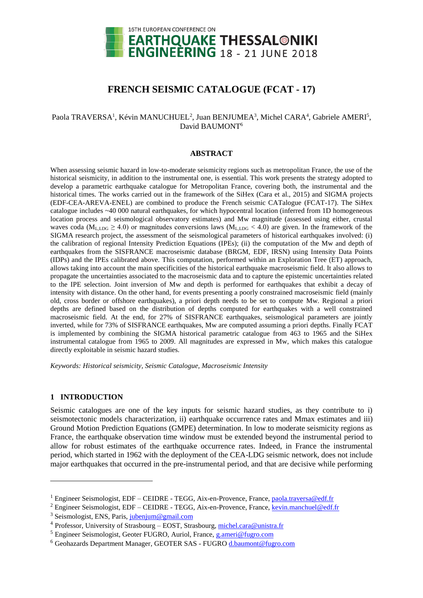

# **FRENCH SEISMIC CATALOGUE (FCAT - 17)**

## Paola TRAVERSA<sup>1</sup>, Kévin MANUCHUEL<sup>2</sup>, Juan BENJUMEA<sup>3</sup>, Michel CARA<sup>4</sup>, Gabriele AMERI<sup>5</sup>, David BAUMONT<sup>6</sup>

#### **ABSTRACT**

When assessing seismic hazard in low-to-moderate seismicity regions such as metropolitan France, the use of the historical seismicity, in addition to the instrumental one, is essential. This work presents the strategy adopted to develop a parametric earthquake catalogue for Metropolitan France, covering both, the instrumental and the historical times. The works carried out in the framework of the SiHex (Cara et al., 2015) and SIGMA projects (EDF-CEA-AREVA-ENEL) are combined to produce the French seismic CATalogue (FCAT-17). The SiHex catalogue includes ~40 000 natural earthquakes, for which hypocentral location (inferred from 1D homogeneous location process and seismological observatory estimates) and Mw magnitude (assessed using either, crustal waves coda ( $M_{\text{L,LDG}} \ge 4.0$ ) or magnitudes conversions laws ( $M_{\text{L,LDG}} < 4.0$ ) are given. In the framework of the SIGMA research project, the assessment of the seismological parameters of historical earthquakes involved: (i) the calibration of regional Intensity Prediction Equations (IPEs); (ii) the computation of the Mw and depth of earthquakes from the SISFRANCE macroseismic database (BRGM, EDF, IRSN) using Intensity Data Points (IDPs) and the IPEs calibrated above. This computation, performed within an Exploration Tree (ET) approach, allows taking into account the main specificities of the historical earthquake macroseismic field. It also allows to propagate the uncertainties associated to the macroseismic data and to capture the epistemic uncertainties related to the IPE selection. Joint inversion of Mw and depth is performed for earthquakes that exhibit a decay of intensity with distance. On the other hand, for events presenting a poorly constrained macroseismic field (mainly old, cross border or offshore earthquakes), a priori depth needs to be set to compute Mw. Regional a priori depths are defined based on the distribution of depths computed for earthquakes with a well constrained macroseismic field. At the end, for 27% of SISFRANCE earthquakes, seismological parameters are jointly inverted, while for 73% of SISFRANCE earthquakes, Mw are computed assuming a priori depths. Finally FCAT is implemented by combining the SIGMA historical parametric catalogue from 463 to 1965 and the SiHex instrumental catalogue from 1965 to 2009. All magnitudes are expressed in Mw, which makes this catalogue directly exploitable in seismic hazard studies.

*Keywords: Historical seismicity, Seismic Catalogue, Macroseismic Intensity*

#### **1 INTRODUCTION**

l

Seismic catalogues are one of the key inputs for seismic hazard studies, as they contribute to i) seismotectonic models characterization, ii) earthquake occurrence rates and Mmax estimates and iii) Ground Motion Prediction Equations (GMPE) determination. In low to moderate seismicity regions as France, the earthquake observation time window must be extended beyond the instrumental period to allow for robust estimates of the earthquake occurrence rates. Indeed, in France the instrumental period, which started in 1962 with the deployment of the CEA-LDG seismic network, does not include major earthquakes that occurred in the pre-instrumental period, and that are decisive while performing

<sup>&</sup>lt;sup>1</sup> Engineer Seismologist, EDF – CEIDRE - TEGG, Aix-en-Provence, France[, paola.traversa@edf.fr](mailto:paola.traversa@edf.fr)

 $2$  Engineer Seismologist, EDF – CEIDRE - TEGG, Aix-en-Provence, France[, kevin.manchuel@edf.fr](mailto:kevin.manchuel@edf.fr)

<sup>3</sup> Seismologist, ENS, Paris, [jubenjum@gmail.com](mailto:jubenjum@gmail.com)

<sup>4</sup> Professor, University of Strasbourg – EOST, Strasbourg, [michel.cara@unistra.fr](mailto:michel.cara@unistra.fr)

<sup>5</sup> Engineer Seismologist, Geoter FUGRO, Auriol, France, [g.ameri@fugro.com](mailto:g.ameri@fugro.com)

<sup>6</sup> Geohazards Department Manager, GEOTER SAS - FUGRO [d.baumont@fugro.com](mailto:d.baumont@fugro.com)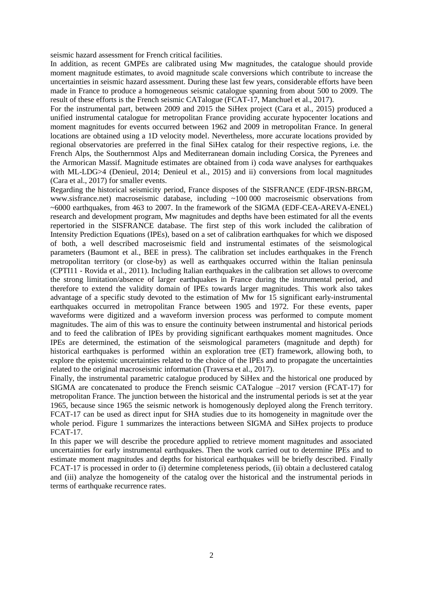seismic hazard assessment for French critical facilities.

In addition, as recent GMPEs are calibrated using Mw magnitudes, the catalogue should provide moment magnitude estimates, to avoid magnitude scale conversions which contribute to increase the uncertainties in seismic hazard assessment. During these last few years, considerable efforts have been made in France to produce a homogeneous seismic catalogue spanning from about 500 to 2009. The result of these efforts is the French seismic CATalogue (FCAT-17, Manchuel et al., 2017).

For the instrumental part, between 2009 and 2015 the SiHex project (Cara et al., 2015) produced a unified instrumental catalogue for metropolitan France providing accurate hypocenter locations and moment magnitudes for events occurred between 1962 and 2009 in metropolitan France. In general locations are obtained using a 1D velocity model. Nevertheless, more accurate locations provided by regional observatories are preferred in the final SiHex catalog for their respective regions, i.e. the French Alps, the Southernmost Alps and Mediterranean domain including Corsica, the Pyrenees and the Armorican Massif. Magnitude estimates are obtained from i) coda wave analyses for earthquakes with ML-LDG>4 (Denieul, 2014; Denieul et al., 2015) and ii) conversions from local magnitudes (Cara et al., 2017) for smaller events.

Regarding the historical seismicity period, France disposes of the SISFRANCE (EDF-IRSN-BRGM, www.sisfrance.net) macroseismic database, including ~100 000 macroseismic observations from  $\sim$  6000 earthquakes, from 463 to 2007. In the framework of the SIGMA (EDF-CEA-AREVA-ENEL) research and development program, Mw magnitudes and depths have been estimated for all the events repertoried in the SISFRANCE database. The first step of this work included the calibration of Intensity Prediction Equations (IPEs), based on a set of calibration earthquakes for which we disposed of both, a well described macroseismic field and instrumental estimates of the seismological parameters (Baumont et al., BEE in press). The calibration set includes earthquakes in the French metropolitan territory (or close-by) as well as earthquakes occurred within the Italian peninsula (CPTI11 - Rovida et al., 2011). Including Italian earthquakes in the calibration set allows to overcome the strong limitation/absence of larger earthquakes in France during the instrumental period, and therefore to extend the validity domain of IPEs towards larger magnitudes. This work also takes advantage of a specific study devoted to the estimation of Mw for 15 significant early-instrumental earthquakes occurred in metropolitan France between 1905 and 1972. For these events, paper waveforms were digitized and a waveform inversion process was performed to compute moment magnitudes. The aim of this was to ensure the continuity between instrumental and historical periods and to feed the calibration of IPEs by providing significant earthquakes moment magnitudes. Once IPEs are determined, the estimation of the seismological parameters (magnitude and depth) for historical earthquakes is performed within an exploration tree (ET) framework, allowing both, to explore the epistemic uncertainties related to the choice of the IPEs and to propagate the uncertainties related to the original macroseismic information (Traversa et al., 2017).

Finally, the instrumental parametric catalogue produced by SiHex and the historical one produced by SIGMA are concatenated to produce the French seismic CATalogue –2017 version (FCAT-17) for metropolitan France. The junction between the historical and the instrumental periods is set at the year 1965, because since 1965 the seismic network is homogenously deployed along the French territory. FCAT-17 can be used as direct input for SHA studies due to its homogeneity in magnitude over the whole period. Figure 1 summarizes the interactions between SIGMA and SiHex projects to produce FCAT-17.

In this paper we will describe the procedure applied to retrieve moment magnitudes and associated uncertainties for early instrumental earthquakes. Then the work carried out to determine IPEs and to estimate moment magnitudes and depths for historical earthquakes will be briefly described. Finally FCAT-17 is processed in order to (i) determine completeness periods, (ii) obtain a declustered catalog and (iii) analyze the homogeneity of the catalog over the historical and the instrumental periods in terms of earthquake recurrence rates.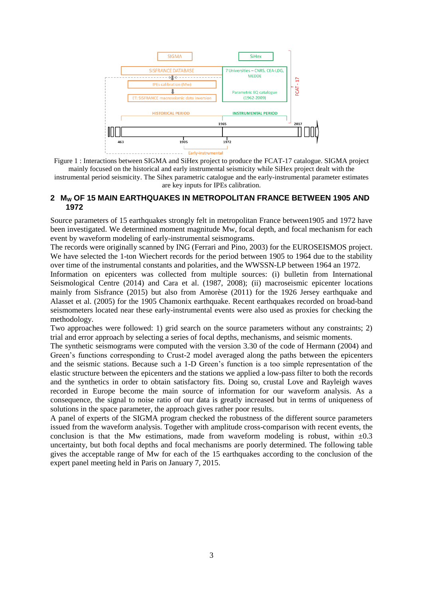

<span id="page-2-0"></span>Figure 1 : Interactions between SIGMA and SiHex project to produce the FCAT-17 catalogue. SIGMA project mainly focused on the historical and early instrumental seismicity while SiHex project dealt with the

instrumental period seismicity. The Sihex parametric catalogue and the early-instrumental parameter estimates are key inputs for IPEs calibration.

## **2 M<sup>W</sup> OF 15 MAIN EARTHQUAKES IN METROPOLITAN FRANCE BETWEEN 1905 AND 1972**

Source parameters of 15 earthquakes strongly felt in metropolitan France between1905 and 1972 have been investigated. We determined moment magnitude Mw, focal depth, and focal mechanism for each event by waveform modeling of early-instrumental seismograms.

The records were originally scanned by ING (Ferrari and Pino, 2003) for the EUROSEISMOS project. We have selected the 1-ton Wiechert records for the period between 1905 to 1964 due to the stability over time of the instrumental constants and polarities, and the WWSSN-LP between 1964 an 1972.

Information on epicenters was collected from multiple sources: (i) bulletin from International Seismological Centre (2014) and Cara et al. (1987, 2008); (ii) macroseismic epicenter locations mainly from Sisfrance (2015) but also from Amorèse (2011) for the 1926 Jersey earthquake and Alasset et al. (2005) for the 1905 Chamonix earthquake. Recent earthquakes recorded on broad-band seismometers located near these early-instrumental events were also used as proxies for checking the methodology.

Two approaches were followed: 1) grid search on the source parameters without any constraints; 2) trial and error approach by selecting a series of focal depths, mechanisms, and seismic moments.

The synthetic seismograms were computed with the version 3.30 of the code of Hermann (2004) and Green's functions corresponding to Crust-2 model averaged along the paths between the epicenters and the seismic stations. Because such a 1-D Green's function is a too simple representation of the elastic structure between the epicenters and the stations we applied a low-pass filter to both the records and the synthetics in order to obtain satisfactory fits. Doing so, crustal Love and Rayleigh waves recorded in Europe become the main source of information for our waveform analysis. As a consequence, the signal to noise ratio of our data is greatly increased but in terms of uniqueness of solutions in the space parameter, the approach gives rather poor results.

A panel of experts of the SIGMA program checked the robustness of the different source parameters issued from the waveform analysis. Together with amplitude cross-comparison with recent events, the conclusion is that the Mw estimations, made from waveform modeling is robust, within  $\pm 0.3$ uncertainty, but both focal depths and focal mechanisms are poorly determined. The following table gives the acceptable range of Mw for each of the 15 earthquakes according to the conclusion of the expert panel meeting held in Paris on January 7, 2015.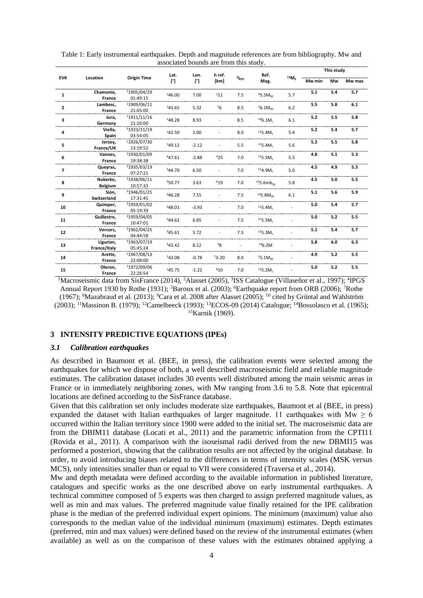|                |                |                         | Lat.         | Lon.    | h ref.    |                | Ref.                                         |         |        | This study |        |
|----------------|----------------|-------------------------|--------------|---------|-----------|----------------|----------------------------------------------|---------|--------|------------|--------|
| EV#            | Location       | <b>Origin Time</b>      | $[^{\circ}]$ | ľ1      | [km]      | $1_{EPC}$      | Mag.                                         | $15M_S$ | Mw min | Mw         | Mw max |
| $\mathbf{1}$   | Chamonix,      | 11905/04/29             | 146.00       | 7.00    | $^{2}11$  | 7.5            | 95.5M <sub>w</sub>                           | 5.7     | 5.1    | 5.4        | 5.7    |
|                | France         | 01:49:15                |              |         |           |                |                                              |         |        |            |        |
| $\mathbf{2}$   | Lambesc,       | 11909/06/11             | 143.65       | 5.32    | 56        | 8.5            | $56.1M_{W}$                                  | 6.2     | 5.5    | 5.8        | 6.1    |
|                | France         | 21:05:00                |              |         |           |                |                                              |         |        |            |        |
| 3              | Jura,          | 11911/11/16             | 148.28       | 8.93    |           | 8.5            | $106.1M_{\odot}$                             | 6.1     | 5.2    | 5.5        | 5.8    |
|                | Germany        | 21:26:00                |              |         |           |                |                                              |         |        |            |        |
| 4              | Viella,        | 31923/11/19             | 142.50       | 1.00    |           | 8.0            | $115.4M_1$                                   | 5.4     | 5.2    | 5.4        | 5.7    |
|                | Spain          | 03:54:05                |              |         |           |                |                                              |         |        |            |        |
| 5              | Jersey,        | 11926/07/30             | 149.12       | $-2.12$ |           | 5.5            | $115.4M_1$                                   | 5.6     | 5.2    | 5.5        | 5.8    |
|                | France/UK      | 13:19:52                |              |         |           |                |                                              |         |        |            |        |
| 6              | Vannes,        | <sup>3</sup> 1930/01/09 | 447.61       | $-2.88$ | 425       | 7.0            | 115.5M <sub>1</sub>                          | 5.5     | 4.8    | 5.1        | 5.3    |
|                | France         | 19:38:38                |              |         |           |                |                                              |         |        |            |        |
| $\overline{7}$ | Queyras,       | <sup>3</sup> 1935/03/19 | 344.70       | 6.50    |           | 7.0            | 114.9M <sub>1</sub>                          | 5.0     | 4.5    | 4.9        | 5.3    |
|                | France         | 07:27:21                |              |         |           |                |                                              |         |        |            |        |
|                | Nukerke,       | <sup>3</sup> 1938/06/11 |              | 3.63    | 619       |                | 4.5<br>5.8<br>7.0<br>$125.6mb$ <sub>18</sub> | 5.0     | 5.5    |            |        |
| 8              | <b>Belgium</b> | 10:57:33                | 350.77       |         |           |                |                                              |         |        |            |        |
|                | Sion,          | <sup>3</sup> 1946/01/25 | 346.28       | 7.55    |           | 7.5            | $135.8M_{W}$                                 | 6.1     | 5.1    | 5.6        | 5.9    |
| 9              | Switzerland    | 17:31:45                |              |         |           |                |                                              |         |        |            |        |
|                | Quimper,       | <sup>3</sup> 1959/01/02 | 348.01       | $-3.93$ |           | 7.0            | 115.4M <sub>1</sub>                          |         | 5.0    | 5.4        | 5.7    |
| 10             | France         | 05:19:39                |              |         |           |                |                                              |         |        |            |        |
|                | Guillestre,    | <sup>3</sup> 1959/04/05 | 344.62       | 6.85    |           | 7.5            | 115.5M <sub>1</sub>                          |         | 5.0    | 5.2        | 5.5    |
| 11             | France         | 10:47:01                |              |         |           |                |                                              |         |        |            |        |
|                | Vercors,       | <sup>3</sup> 1962/04/25 |              |         |           |                |                                              |         | 5.1    | 5.4        | 5.7    |
| 12             | France         | 04:44:58                | 345.61       | 5.72    |           | 7.5            | $115.3M_1$                                   |         |        |            |        |
|                | Ligurian,      | <sup>3</sup> 1963/07/19 |              | 8.12    | 38        | $\overline{a}$ | 146.2M                                       |         | 5.8    | 6.0        | 6.3    |
| 13             | France/Italy   | 05:45:24                | 343.42       |         |           |                |                                              |         |        |            |        |
|                | Arette,        | 11967/08/13             | 143.08       | $-0.78$ | $73 - 20$ | 8.0            | 25.1M <sub>w</sub>                           |         | 4.9    | 5.2        | 5.5    |
| 14             | France         | 22:08:00                |              |         |           |                |                                              |         |        |            |        |
|                | Oleron,        | 11972/09/06             | 145.75       | $-1.22$ | 810       | 7.0            | $115.2M_1$                                   |         | 5.0    | 5.2        | 5.5    |
| 15             | France         | 22:26:54                |              |         |           |                |                                              |         |        |            |        |

Table 1: Early instrumental earthquakes. Depth and magnitude references are from bibliography. Mw and associated bounds are from this study.

<sup>1</sup>Macroseismic data from SisFrance (2014), <sup>2</sup>Alasset (2005), <sup>3</sup>ISS Catalogue (Villaseñor et al., 1997); <sup>4</sup>IPGS Annual Report 1930 by Rothe (1931); <sup>5</sup>Baroux et al. (2003); <sup>6</sup>Earthquake report from ORB (2006); <sup>7</sup>Rothe (1967); <sup>8</sup>Mazabraud et al. (2013); <sup>9</sup>Cara et al. 2008 after Alasset (2005); <sup>10</sup> cited by Grüntal and Wahlström (2003); <sup>11</sup>Massinon B. (1979); <sup>12</sup>Camelbeeck (1993); <sup>13</sup>ECOS-09 (2014) Catalogue; <sup>14</sup>Bossolasco et al. (1965); <sup>15</sup>Karnik (1969).

## **3 INTENSITY PREDICTIVE EQUATIONS (IPEs)**

#### *3.1 Calibration earthquakes*

As described in Baumont et al. (BEE, in press), the calibration events were selected among the earthquakes for which we dispose of both, a well described macroseismic field and reliable magnitude estimates. The calibration dataset includes 30 events well distributed among the main seismic areas in France or in immediately neighboring zones, with Mw ranging from 3.6 to 5.8. Note that epicentral locations are defined according to the SisFrance database.

Given that this calibration set only includes moderate size earthquakes, Baumont et al (BEE, in press) expanded the dataset with Italian earthquakes of larger magnitude. 11 earthquakes with Mw  $\geq 6$ occurred within the Italian territory since 1900 were added to the initial set. The macroseismic data are from the DBIM11 database (Locati et al., 2011) and the parametric information from the CPTI11 (Rovida et al., 2011). A comparison with the isoseismal radii derived from the new DBMI15 was performed a posteriori, showing that the calibration results are not affected by the original database. In order, to avoid introducing biases related to the differences in terms of intensity scales (MSK versus MCS), only intensities smaller than or equal to VII were considered (Traversa et al., 2014).

Mw and depth metadata were defined according to the available information in published literature, catalogues and specific works as the one described above on early instrumental earthquakes. A technical committee composed of 5 experts was then charged to assign preferred magnitude values, as well as min and max values. The preferred magnitude value finally retained for the IPE calibration phase is the median of the preferred individual expert opinions. The minimum (maximum) value also corresponds to the median value of the individual minimum (maximum) estimates. Depth estimates (preferred, min and max values) were defined based on the review of the instrumental estimates (when available) as well as on the comparison of these values with the estimates obtained applying a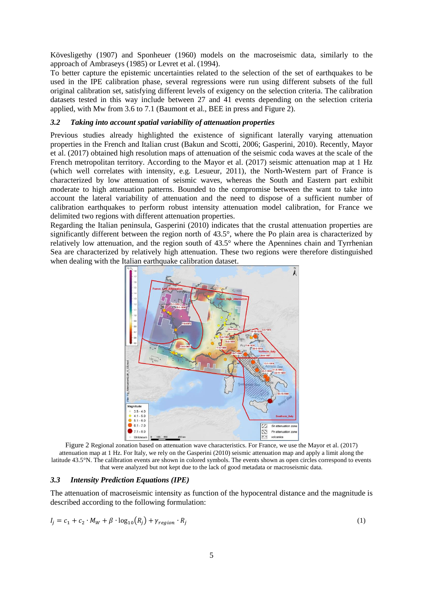Kövesligethy (1907) and Sponheuer (1960) models on the macroseismic data, similarly to the approach of Ambraseys (1985) or Levret et al. (1994).

To better capture the epistemic uncertainties related to the selection of the set of earthquakes to be used in the IPE calibration phase, several regressions were run using different subsets of the full original calibration set, satisfying different levels of exigency on the selection criteria. The calibration datasets tested in this way include between 27 and 41 events depending on the selection criteria applied, with Mw from 3.6 to 7.1 (Baumont et al., BEE in press and [Figure 2\)](#page-4-0).

### *3.2 Taking into account spatial variability of attenuation properties*

Previous studies already highlighted the existence of significant laterally varying attenuation properties in the French and Italian crust (Bakun and Scotti, 2006; Gasperini, 2010). Recently, Mayor et al. (2017) obtained high resolution maps of attenuation of the seismic coda waves at the scale of the French metropolitan territory. According to the Mayor et al. (2017) seismic attenuation map at 1 Hz (which well correlates with intensity, e.g. Lesueur, 2011), the North-Western part of France is characterized by low attenuation of seismic waves, whereas the South and Eastern part exhibit moderate to high attenuation patterns. Bounded to the compromise between the want to take into account the lateral variability of attenuation and the need to dispose of a sufficient number of calibration earthquakes to perform robust intensity attenuation model calibration, for France we delimited two regions with different attenuation properties.

Regarding the Italian peninsula, Gasperini (2010) indicates that the crustal attenuation properties are significantly different between the region north of 43.5°, where the Po plain area is characterized by relatively low attenuation, and the region south of 43.5° where the Apennines chain and Tyrrhenian Sea are characterized by relatively high attenuation. These two regions were therefore distinguished when dealing with the Italian earthquake calibration dataset.



<span id="page-4-0"></span>Figure 2 Regional zonation based on attenuation wave characteristics. For France, we use the Mayor et al. (2017) attenuation map at 1 Hz. For Italy, we rely on the Gasperini (2010) seismic attenuation map and apply a limit along the latitude 43.5°N. The calibration events are shown in colored symbols. The events shown as open circles correspond to events that were analyzed but not kept due to the lack of good metadata or macroseismic data.

#### *3.3 Intensity Prediction Equations (IPE)*

The attenuation of macroseismic intensity as function of the hypocentral distance and the magnitude is described according to the following formulation:

$$
I_j = c_1 + c_2 \cdot M_W + \beta \cdot \log_{10}(R_j) + \gamma_{region} \cdot R_j \tag{1}
$$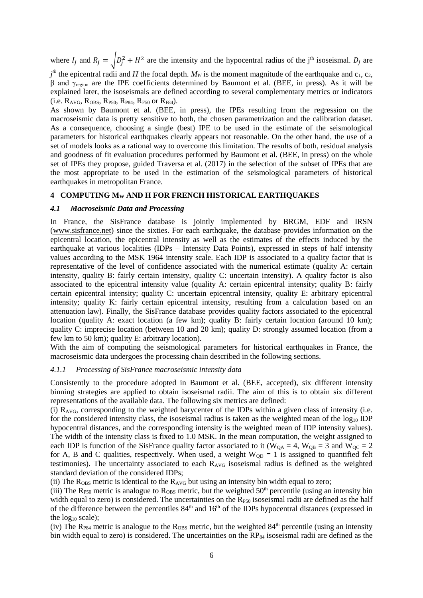where  $I_j$  and  $R_j = \sqrt{D_j^2 + H^2}$  are the intensity and the hypocentral radius of the j<sup>th</sup> isoseismal.  $D_j$  are

 $j<sup>th</sup>$  the epicentral radii and *H* the focal depth. *M<sub>W</sub>* is the moment magnitude of the earthquake and c<sub>1</sub>, c<sub>2</sub>, β and  $γ_{\text{region}}$  are the IPE coefficients determined by Baumont et al. (BEE, in press). As it will be explained later, the isoseismals are defined according to several complementary metrics or indicators  $(i.e. R_{AVG}, R_{OBS}, R_{P50}, R_{P84}, R_{F50}$  or  $R_{F84}$ ).

As shown by Baumont et al. (BEE, in press), the IPEs resulting from the regression on the macroseismic data is pretty sensitive to both, the chosen parametrization and the calibration dataset. As a consequence, choosing a single (best) IPE to be used in the estimate of the seismological parameters for historical earthquakes clearly appears not reasonable. On the other hand, the use of a set of models looks as a rational way to overcome this limitation. The results of both, residual analysis and goodness of fit evaluation procedures performed by Baumont et al. (BEE, in press) on the whole set of IPEs they propose, guided Traversa et al. (2017) in the selection of the subset of IPEs that are the most appropriate to be used in the estimation of the seismological parameters of historical earthquakes in metropolitan France.

### **4 COMPUTING M<sup>W</sup> AND H FOR FRENCH HISTORICAL EARTHQUAKES**

#### *4.1 Macroseismic Data and Processing*

In France, the SisFrance database is jointly implemented by BRGM, EDF and IRSN [\(www.sisfrance.net\)](http://www.sisfrance.net/) since the sixties. For each earthquake, the database provides information on the epicentral location, the epicentral intensity as well as the estimates of the effects induced by the earthquake at various localities (IDPs – Intensity Data Points), expressed in steps of half intensity values according to the MSK 1964 intensity scale. Each IDP is associated to a quality factor that is representative of the level of confidence associated with the numerical estimate (quality A: certain intensity, quality B: fairly certain intensity, quality C: uncertain intensity). A quality factor is also associated to the epicentral intensity value (quality A: certain epicentral intensity; quality B: fairly certain epicentral intensity; quality C: uncertain epicentral intensity, quality E: arbitrary epicentral intensity; quality K: fairly certain epicentral intensity, resulting from a calculation based on an attenuation law). Finally, the SisFrance database provides quality factors associated to the epicentral location (quality A: exact location (a few km); quality B: fairly certain location (around 10 km); quality C: imprecise location (between 10 and 20 km); quality D: strongly assumed location (from a few km to 50 km); quality E: arbitrary location).

With the aim of computing the seismological parameters for historical earthquakes in France, the macroseismic data undergoes the processing chain described in the following sections.

## *4.1.1 Processing of SisFrance macroseismic intensity data*

Consistently to the procedure adopted in Baumont et al. (BEE, accepted), six different intensity binning strategies are applied to obtain isoseismal radii. The aim of this is to obtain six different representations of the available data. The following six metrics are defined:

(i) RAVG, corresponding to the weighted barycenter of the IDPs within a given class of intensity (i.e. for the considered intensity class, the isoseismal radius is taken as the weighted mean of the  $log_{10}$  IDP hypocentral distances, and the corresponding intensity is the weighted mean of IDP intensity values). The width of the intensity class is fixed to 1.0 MSK. In the mean computation, the weight assigned to each IDP is function of the SisFrance quality factor associated to it ( $W_{QA} = 4$ ,  $W_{QB} = 3$  and  $W_{QC} = 2$ for A, B and C qualities, respectively. When used, a weight  $W_{OD} = 1$  is assigned to quantified felt testimonies). The uncertainty associated to each  $R_{AVG}$  isoseismal radius is defined as the weighted standard deviation of the considered IDPs;

(ii) The  $R<sub>OBS</sub>$  metric is identical to the  $R<sub>AVG</sub>$  but using an intensity bin width equal to zero;

(iii) The  $R_{P50}$  metric is analogue to  $R_{OBS}$  metric, but the weighted  $50<sup>th</sup>$  percentile (using an intensity bin width equal to zero) is considered. The uncertainties on the  $R_{P50}$  isoseismal radii are defined as the half of the difference between the percentiles  $84<sup>th</sup>$  and  $16<sup>th</sup>$  of the IDPs hypocentral distances (expressed in the  $log_{10}$  scale);

(iv) The  $R_{P84}$  metric is analogue to the  $R_{OBS}$  metric, but the weighted  $84<sup>th</sup>$  percentile (using an intensity bin width equal to zero) is considered. The uncertainties on the  $RP_{84}$  isoseismal radii are defined as the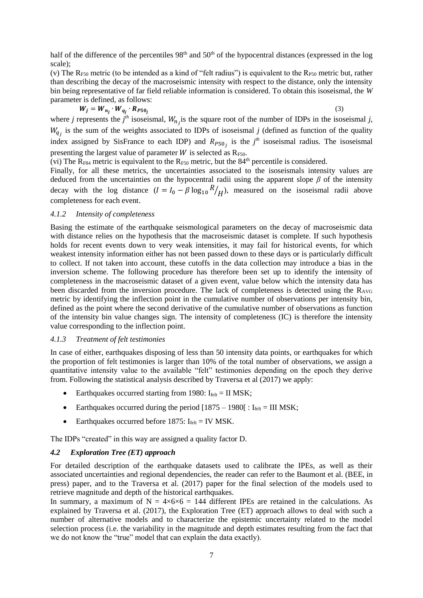half of the difference of the percentiles  $98<sup>th</sup>$  and  $50<sup>th</sup>$  of the hypocentral distances (expressed in the log scale);

(v) The  $R_{F50}$  metric (to be intended as a kind of "felt radius") is equivalent to the  $R_{F50}$  metric but, rather than describing the decay of the macroseismic intensity with respect to the distance, only the intensity bin being representative of far field reliable information is considered. To obtain this isoseismal, the *W* parameter is defined, as follows:

$$
W_j = W_{n_j} \cdot W_{q_j} \cdot R_{P50_j}
$$

(3)

where *j* represents the *j*<sup>th</sup> isoseismal,  $W_{nj}$  is the square root of the number of IDPs in the isoseismal *j*,  $W_{qj}$  is the sum of the weights associated to IDPs of isoseismal *j* (defined as function of the quality index assigned by SisFrance to each IDP) and  $R_{P50j}$  is the  $j<sup>th</sup>$  isoseismal radius. The isoseismal presenting the largest value of parameter  $W$  is selected as  $R_{F50}$ .

(vi) The  $\overline{R}_{F84}$  metric is equivalent to the  $R_{F50}$  metric, but the  $84<sup>th</sup>$  percentile is considered.

Finally, for all these metrics, the uncertainties associated to the isoseismals intensity values are deduced from the uncertainties on the hypocentral radii using the apparent slope *β* of the intensity decay with the log distance  $(I = I_0 - \beta \log_{10} R)$  $\sqrt{H}$ ), measured on the isoseismal radii above completeness for each event.

## *4.1.2 Intensity of completeness*

Basing the estimate of the earthquake seismological parameters on the decay of macroseismic data with distance relies on the hypothesis that the macroseismic dataset is complete. If such hypothesis holds for recent events down to very weak intensities, it may fail for historical events, for which weakest intensity information either has not been passed down to these days or is particularly difficult to collect. If not taken into account, these cutoffs in the data collection may introduce a bias in the inversion scheme. The following procedure has therefore been set up to identify the intensity of completeness in the macroseismic dataset of a given event, value below which the intensity data has been discarded from the inversion procedure. The lack of completeness is detected using the RAVG metric by identifying the inflection point in the cumulative number of observations per intensity bin, defined as the point where the second derivative of the cumulative number of observations as function of the intensity bin value changes sign. The intensity of completeness (IC) is therefore the intensity value corresponding to the inflection point.

### <span id="page-6-0"></span>*4.1.3 Treatment of felt testimonies*

In case of either, earthquakes disposing of less than 50 intensity data points, or earthquakes for which the proportion of felt testimonies is larger than 10% of the total number of observations, we assign a quantitative intensity value to the available "felt" testimonies depending on the epoch they derive from. Following the statistical analysis described by Traversa et al (2017) we apply:

- Earthquakes occurred starting from 1980:  $I_{\text{felt}} = II$  MSK;
- Earthquakes occurred during the period  $[1875 1980]$ :  $I_{\text{felt}} = III$  MSK;
- Earthquakes occurred before 1875:  $I_{\text{felt}} = \text{IV} \text{ MSK}.$

The IDPs "created" in this way are assigned a quality factor D.

## *4.2 Exploration Tree (ET) approach*

For detailed description of the earthquake datasets used to calibrate the IPEs, as well as their associated uncertainties and regional dependencies, the reader can refer to the Baumont et al. (BEE, in press) paper, and to the Traversa et al. (2017) paper for the final selection of the models used to retrieve magnitude and depth of the historical earthquakes.

In summary, a maximum of  $N = 4 \times 6 \times 6 = 144$  different IPEs are retained in the calculations. As explained by Traversa et al. (2017), the Exploration Tree (ET) approach allows to deal with such a number of alternative models and to characterize the epistemic uncertainty related to the model selection process (i.e. the variability in the magnitude and depth estimates resulting from the fact that we do not know the "true" model that can explain the data exactly).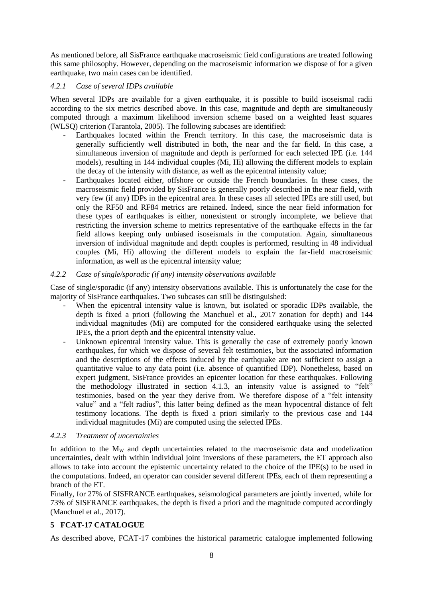As mentioned before, all SisFrance earthquake macroseismic field configurations are treated following this same philosophy. However, depending on the macroseismic information we dispose of for a given earthquake, two main cases can be identified.

## *4.2.1 Case of several IDPs available*

When several IDPs are available for a given earthquake, it is possible to build isoseismal radii according to the six metrics described above. In this case, magnitude and depth are simultaneously computed through a maximum likelihood inversion scheme based on a weighted least squares (WLSQ) criterion (Tarantola, 2005). The following subcases are identified:

- Earthquakes located within the French territory. In this case, the macroseismic data is generally sufficiently well distributed in both, the near and the far field. In this case, a simultaneous inversion of magnitude and depth is performed for each selected IPE (i.e. 144 models), resulting in 144 individual couples (Mi, Hi) allowing the different models to explain the decay of the intensity with distance, as well as the epicentral intensity value;
- Earthquakes located either, offshore or outside the French boundaries. In these cases, the macroseismic field provided by SisFrance is generally poorly described in the near field, with very few (if any) IDPs in the epicentral area. In these cases all selected IPEs are still used, but only the RF50 and RF84 metrics are retained. Indeed, since the near field information for these types of earthquakes is either, nonexistent or strongly incomplete, we believe that restricting the inversion scheme to metrics representative of the earthquake effects in the far field allows keeping only unbiased isoseismals in the computation. Again, simultaneous inversion of individual magnitude and depth couples is performed, resulting in 48 individual couples (Mi, Hi) allowing the different models to explain the far-field macroseismic information, as well as the epicentral intensity value;

## *4.2.2 Case of single/sporadic (if any) intensity observations available*

Case of single/sporadic (if any) intensity observations available. This is unfortunately the case for the majority of SisFrance earthquakes. Two subcases can still be distinguished:

- When the epicentral intensity value is known, but isolated or sporadic IDPs available, the depth is fixed a priori (following the Manchuel et al., 2017 zonation for depth) and 144 individual magnitudes (Mi) are computed for the considered earthquake using the selected IPEs, the a priori depth and the epicentral intensity value.
- Unknown epicentral intensity value. This is generally the case of extremely poorly known earthquakes, for which we dispose of several felt testimonies, but the associated information and the descriptions of the effects induced by the earthquake are not sufficient to assign a quantitative value to any data point (i.e. absence of quantified IDP). Nonetheless, based on expert judgment, SisFrance provides an epicenter location for these earthquakes. Following the methodology illustrated in section [4.1.3,](#page-6-0) an intensity value is assigned to "felt" testimonies, based on the year they derive from. We therefore dispose of a "felt intensity value" and a "felt radius", this latter being defined as the mean hypocentral distance of felt testimony locations. The depth is fixed a priori similarly to the previous case and 144 individual magnitudes (Mi) are computed using the selected IPEs.

## *4.2.3 Treatment of uncertainties*

In addition to the M<sub>W</sub> and depth uncertainties related to the macroseismic data and modelization uncertainties, dealt with within individual joint inversions of these parameters, the ET approach also allows to take into account the epistemic uncertainty related to the choice of the IPE(s) to be used in the computations. Indeed, an operator can consider several different IPEs, each of them representing a branch of the ET.

Finally, for 27% of SISFRANCE earthquakes, seismological parameters are jointly inverted, while for 73% of SISFRANCE earthquakes, the depth is fixed a priori and the magnitude computed accordingly (Manchuel et al., 2017).

## **5 FCAT-17 CATALOGUE**

As described above, FCAT-17 combines the historical parametric catalogue implemented following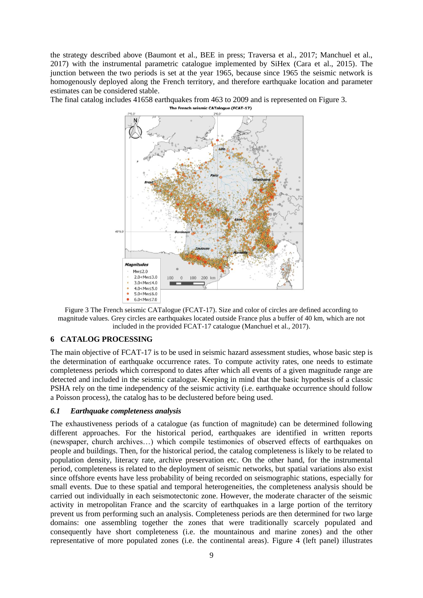the strategy described above (Baumont et al., BEE in press; Traversa et al., 2017; Manchuel et al., 2017) with the instrumental parametric catalogue implemented by SiHex (Cara et al., 2015). The junction between the two periods is set at the year 1965, because since 1965 the seismic network is homogenously deployed along the French territory, and therefore earthquake location and parameter estimates can be considered stable.

The final catalog includes 41658 earthquakes from 463 to 2009 and is represented on [Figure 3.](#page-8-0)<br>The French seismic CATalogue (FCAT-17)



<span id="page-8-0"></span>

## **6 CATALOG PROCESSING**

The main objective of FCAT-17 is to be used in seismic hazard assessment studies, whose basic step is the determination of earthquake occurrence rates. To compute activity rates, one needs to estimate completeness periods which correspond to dates after which all events of a given magnitude range are detected and included in the seismic catalogue. Keeping in mind that the basic hypothesis of a classic PSHA rely on the time independency of the seismic activity (i.e. earthquake occurrence should follow a Poisson process), the catalog has to be declustered before being used.

## *6.1 Earthquake completeness analysis*

The exhaustiveness periods of a catalogue (as function of magnitude) can be determined following different approaches. For the historical period, earthquakes are identified in written reports (newspaper, church archives…) which compile testimonies of observed effects of earthquakes on people and buildings. Then, for the historical period, the catalog completeness is likely to be related to population density, literacy rate, archive preservation etc. On the other hand, for the instrumental period, completeness is related to the deployment of seismic networks, but spatial variations also exist since offshore events have less probability of being recorded on seismographic stations, especially for small events. Due to these spatial and temporal heterogeneities, the completeness analysis should be carried out individually in each seismotectonic zone. However, the moderate character of the seismic activity in metropolitan France and the scarcity of earthquakes in a large portion of the territory prevent us from performing such an analysis. Completeness periods are then determined for two large domains: one assembling together the zones that were traditionally scarcely populated and consequently have short completeness (i.e. the mountainous and marine zones) and the other representative of more populated zones (i.e. the continental areas). [Figure 4](#page-9-0) (left panel) illustrates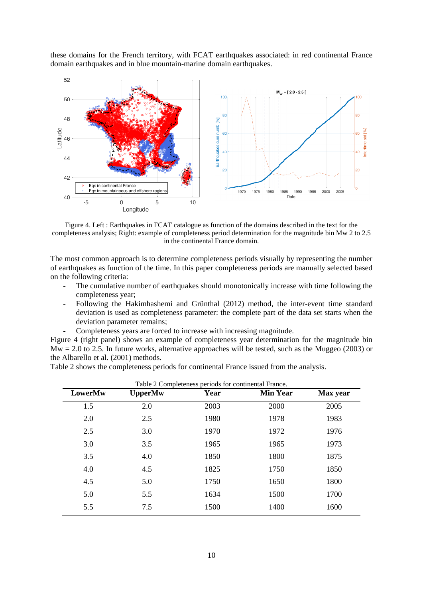these domains for the French territory, with FCAT earthquakes associated: in red continental France domain earthquakes and in blue mountain-marine domain earthquakes.



<span id="page-9-0"></span>Figure 4. Left : Earthquakes in FCAT catalogue as function of the domains described in the text for the completeness analysis; Right: example of completeness period determination for the magnitude bin Mw 2 to 2.5 in the continental France domain.

The most common approach is to determine completeness periods visually by representing the number of earthquakes as function of the time. In this paper completeness periods are manually selected based on the following criteria:

- The cumulative number of earthquakes should monotonically increase with time following the completeness year;
- Following the Hakimhashemi and Grünthal (2012) method, the inter-event time standard deviation is used as completeness parameter: the complete part of the data set starts when the deviation parameter remains;
- Completeness years are forced to increase with increasing magnitude.

[Figure 4](#page-9-0) (right panel) shows an example of completeness year determination for the magnitude bin  $Mw = 2.0$  to 2.5. In future works, alternative approaches will be tested, such as the Muggeo (2003) or the Albarello et al. (2001) methods.

[Table 2](#page-9-1) shows the completeness periods for continental France issued from the analysis.

<span id="page-9-1"></span>

| LowerMw | <b>UpperMw</b> | Year | <b>Min Year</b> | Max year |
|---------|----------------|------|-----------------|----------|
| 1.5     | 2.0            | 2003 | 2000            | 2005     |
| 2.0     | 2.5            | 1980 | 1978            | 1983     |
| 2.5     | 3.0            | 1970 | 1972            | 1976     |
| 3.0     | 3.5            | 1965 | 1965            | 1973     |
| 3.5     | 4.0            | 1850 | 1800            | 1875     |
| 4.0     | 4.5            | 1825 | 1750            | 1850     |
| 4.5     | 5.0            | 1750 | 1650            | 1800     |
| 5.0     | 5.5            | 1634 | 1500            | 1700     |
| 5.5     | 7.5            | 1500 | 1400            | 1600     |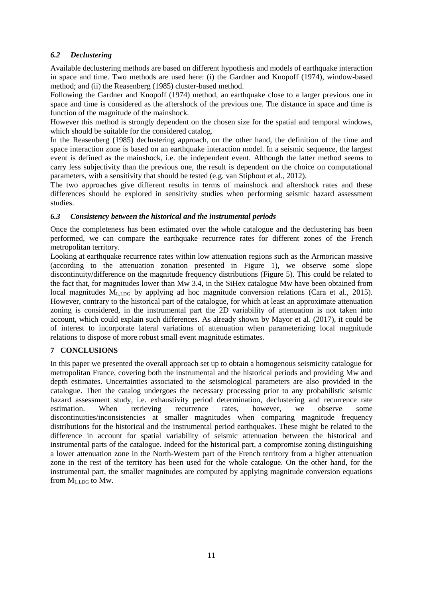## *6.2 Declustering*

Available declustering methods are based on different hypothesis and models of earthquake interaction in space and time. Two methods are used here: (i) the Gardner and Knopoff (1974), window-based method; and (ii) the Reasenberg (1985) cluster-based method.

Following the Gardner and Knopoff (1974) method, an earthquake close to a larger previous one in space and time is considered as the aftershock of the previous one. The distance in space and time is function of the magnitude of the mainshock.

However this method is strongly dependent on the chosen size for the spatial and temporal windows, which should be suitable for the considered catalog.

In the Reasenberg (1985) declustering approach, on the other hand, the definition of the time and space interaction zone is based on an earthquake interaction model. In a seismic sequence, the largest event is defined as the mainshock, i.e. the independent event. Although the latter method seems to carry less subjectivity than the previous one, the result is dependent on the choice on computational parameters, with a sensitivity that should be tested (e.g. van Stiphout et al., 2012).

The two approaches give different results in terms of mainshock and aftershock rates and these differences should be explored in sensitivity studies when performing seismic hazard assessment studies.

## *6.3 Consistency between the historical and the instrumental periods*

Once the completeness has been estimated over the whole catalogue and the declustering has been performed, we can compare the earthquake recurrence rates for different zones of the French metropolitan territory.

Looking at earthquake recurrence rates within low attenuation regions such as the Armorican massive (according to the attenuation zonation presented in [Figure 1\)](#page-2-0), we observe some slope discontinuity/difference on the magnitude frequency distributions [\(Figure 5\)](#page-11-0). This could be related to the fact that, for magnitudes lower than Mw 3.4, in the SiHex catalogue Mw have been obtained from local magnitudes M<sub>LLDG</sub> by applying ad hoc magnitude conversion relations (Cara et al., 2015). However, contrary to the historical part of the catalogue, for which at least an approximate attenuation zoning is considered, in the instrumental part the 2D variability of attenuation is not taken into account, which could explain such differences. As already shown by Mayor et al. (2017), it could be of interest to incorporate lateral variations of attenuation when parameterizing local magnitude relations to dispose of more robust small event magnitude estimates.

## **7 CONCLUSIONS**

In this paper we presented the overall approach set up to obtain a homogenous seismicity catalogue for metropolitan France, covering both the instrumental and the historical periods and providing Mw and depth estimates. Uncertainties associated to the seismological parameters are also provided in the catalogue. Then the catalog undergoes the necessary processing prior to any probabilistic seismic hazard assessment study, i.e. exhaustivity period determination, declustering and recurrence rate estimation. When retrieving recurrence rates, however, we observe some discontinuities/inconsistencies at smaller magnitudes when comparing magnitude frequency distributions for the historical and the instrumental period earthquakes. These might be related to the difference in account for spatial variability of seismic attenuation between the historical and instrumental parts of the catalogue. Indeed for the historical part, a compromise zoning distinguishing a lower attenuation zone in the North-Western part of the French territory from a higher attenuation zone in the rest of the territory has been used for the whole catalogue. On the other hand, for the instrumental part, the smaller magnitudes are computed by applying magnitude conversion equations from  $M_{\text{L-DC}}$  to Mw.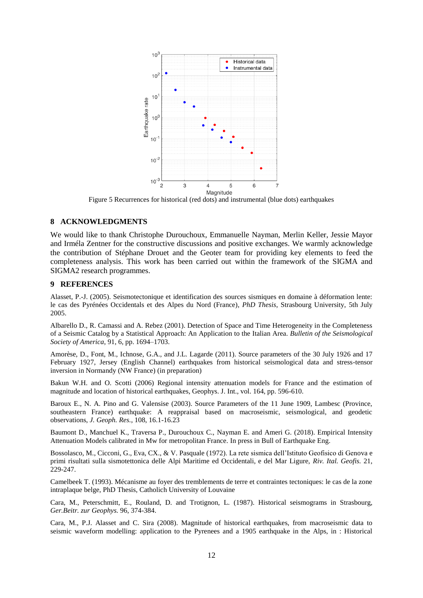

Figure 5 Recurrences for historical (red dots) and instrumental (blue dots) earthquakes

#### <span id="page-11-0"></span>**8 ACKNOWLEDGMENTS**

We would like to thank Christophe Durouchoux, Emmanuelle Nayman, Merlin Keller, Jessie Mayor and Irméla Zentner for the constructive discussions and positive exchanges. We warmly acknowledge the contribution of Stéphane Drouet and the Geoter team for providing key elements to feed the completeness analysis. This work has been carried out within the framework of the SIGMA and SIGMA2 research programmes.

#### **9 REFERENCES**

Alasset, P.-J. (2005). Seismotectonique et identification des sources sismiques en domaine à déformation lente: le cas des Pyrénées Occidentals et des Alpes du Nord (France), *PhD Thesis*, Strasbourg University, 5th July 2005.

Albarello D., R. Camassi and A. Rebez (2001). Detection of Space and Time Heterogeneity in the Completeness of a Seismic Catalog by a Statistical Approach: An Application to the Italian Area. *Bulletin of the Seismological Society of America*, 91, 6, pp. 1694–1703.

Amorèse, D., Font, M., Ichnose, G.A., and J.L. Lagarde (2011). Source parameters of the 30 July 1926 and 17 February 1927, Jersey (English Channel) earthquakes from historical seismological data and stress-tensor inversion in Normandy (NW France) (in preparation)

Bakun W.H. and O. Scotti (2006) Regional intensity attenuation models for France and the estimation of magnitude and location of historical earthquakes, Geophys. J. Int., vol. 164, pp. 596-610.

Baroux E., N. A. Pino and G. Valensise (2003). Source Parameters of the 11 June 1909, Lambesc (Province, southeastern France) earthquake: A reappraisal based on macroseismic, seismological, and geodetic observations, *J. Geoph. Res.*, 108, 16.1-16.23

Baumont D., Manchuel K., Traversa P., Durouchoux C., Nayman E. and Ameri G. (2018). Empirical Intensity Attenuation Models calibrated in Mw for metropolitan France. In press in Bull of Earthquake Eng.

Bossolasco, M., Cicconi, G., Eva, CX., & V. Pasquale (1972). La rete sismica dell'Istituto Geofisico di Genova e primi risultati sulla sismotettonica delle Alpi Maritime ed Occidentali, e del Mar Ligure, *Riv. Ital. Geofis.* 21, 229-247.

Camelbeek T. (1993). Mécanisme au foyer des tremblements de terre et contraintes tectoniques: le cas de la zone intraplaque belge, PhD Thesis, Catholich University of Louvaine

Cara, M., Peterschmitt, E., Rouland, D. and Trotignon, L. (1987). Historical seismograms in Strasbourg, *Ger.Beitr. zur Geophys.* 96, 374-384.

Cara, M., P.J. Alasset and C. Sira (2008). Magnitude of historical earthquakes, from macroseismic data to seismic waveform modelling: application to the Pyrenees and a 1905 earthquake in the Alps, in : Historical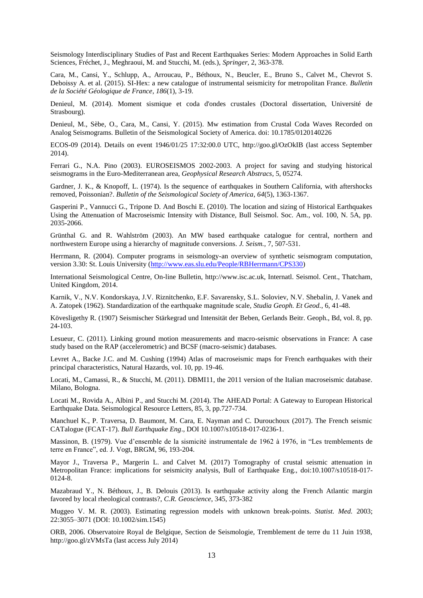Seismology Interdisciplinary Studies of Past and Recent Earthquakes Series: Modern Approaches in Solid Earth Sciences, Fréchet, J., Meghraoui, M. and Stucchi, M. (eds.), *Springer*, 2, 363-378.

Cara, M., Cansi, Y., Schlupp, A., Arroucau, P., Béthoux, N., Beucler, E., Bruno S., Calvet M., Chevrot S. Deboissy A. et al. (2015). SI-Hex: a new catalogue of instrumental seismicity for metropolitan France. *Bulletin de la Société Géologique de France*, *186*(1), 3-19.

Denieul, M. (2014). Moment sismique et coda d'ondes crustales (Doctoral dissertation, Université de Strasbourg).

Denieul, M., Sèbe, O., Cara, M., Cansi, Y. (2015). Mw estimation from Crustal Coda Waves Recorded on Analog Seismograms. Bulletin of the Seismological Society of America. doi: 10.1785/0120140226

ECOS-09 (2014). Details on event 1946/01/25 17:32:00.0 UTC, http://goo.gl/OzOkIB (last access September 2014).

Ferrari G., N.A. Pino (2003). EUROSEISMOS 2002-2003. A project for saving and studying historical seismograms in the Euro-Mediterranean area, *Geophysical Research Abstracs*, 5, 05274.

Gardner, J. K., & Knopoff, L. (1974). Is the sequence of earthquakes in Southern California, with aftershocks removed, Poissonian?. *Bulletin of the Seismological Society of America*, *64*(5), 1363-1367.

Gasperini P., Vannucci G., Tripone D. And Boschi E. (2010). The location and sizing of Historical Earthquakes Using the Attenuation of Macroseismic Intensity with Distance, Bull Seismol. Soc. Am., vol. 100, N. 5A, pp. 2035-2066.

Grünthal G. and R. Wahlström (2003). An MW based earthquake catalogue for central, northern and northwestern Europe using a hierarchy of magnitude conversions. *J. Seism.*, 7, 507-531.

Herrmann, R. (2004). Computer programs in seismology-an overview of synthetic seismogram computation, version 3.30: St. Louis University [\(http://www.eas.slu.edu/People/RBHerrmann/CPS330\)](http://www.eas.slu.edu/People/RBHerrmann/CPS330)

International Seismological Centre, On-line Bulletin, http://www.isc.ac.uk, Internatl. Seismol. Cent., Thatcham, United Kingdom, 2014.

Karnik, V., N.V. Kondorskaya, J.V. Riznitchenko, E.F. Savarensky, S.L. Soloviev, N.V. Shebalin, J. Vanek and A. Zatopek (1962). Standardization of the earthquake magnitude scale, *Studia Geoph. Et Geod.*, 6, 41-48.

Kövesligethy R. (1907) Seismischer Stärkegrad und Intensität der Beben, Gerlands Beitr. Geoph., Bd, vol. 8, pp. 24-103.

Lesueur, C. (2011). Linking ground motion measurements and macro-seismic observations in France: A case study based on the RAP (accelerometric) and BCSF (macro-seismic) databases.

Levret A., Backe J.C. and M. Cushing (1994) Atlas of macroseismic maps for French earthquakes with their principal characteristics, Natural Hazards, vol. 10, pp. 19-46.

Locati, M., Camassi, R., & Stucchi, M. (2011). DBMI11, the 2011 version of the Italian macroseismic database. Milano, Bologna.

Locati M., Rovida A., Albini P., and Stucchi M. (2014). The AHEAD Portal: A Gateway to European Historical Earthquake Data. Seismological Resource Letters, 85, 3, pp.727-734.

Manchuel K., P. Traversa, D. Baumont, M. Cara, E. Nayman and C. Durouchoux (2017). The French seismic CATalogue (FCAT-17). *Bull Earthquake Eng*., DOI 10.1007/s10518-017-0236-1.

Massinon, B. (1979). Vue d'ensemble de la sismicité instrumentale de 1962 à 1976, in "Les tremblements de terre en France", ed. J. Vogt, BRGM, 96, 193-204.

Mayor J., Traversa P., Margerin L. and Calvet M. (2017) Tomography of crustal seismic attenuation in Metropolitan France: implications for seismicity analysis, Bull of Earthquake Eng., doi:10.1007/s10518-017-0124-8.

Mazabraud Y., N. Béthoux, J., B. Delouis (2013). Is earthquake activity along the French Atlantic margin favored by local rheological contrasts?, *C.R. Geoscience*, 345, 373-382

Muggeo V. M. R. (2003). Estimating regression models with unknown break-points. *Statist. Med.* 2003; 22:3055–3071 (DOI: 10.1002/sim.1545)

ORB, 2006. Observatoire Royal de Belgique, Section de Seismologie, Tremblement de terre du 11 Juin 1938, http://goo.gl/zVMsTa (last access July 2014)